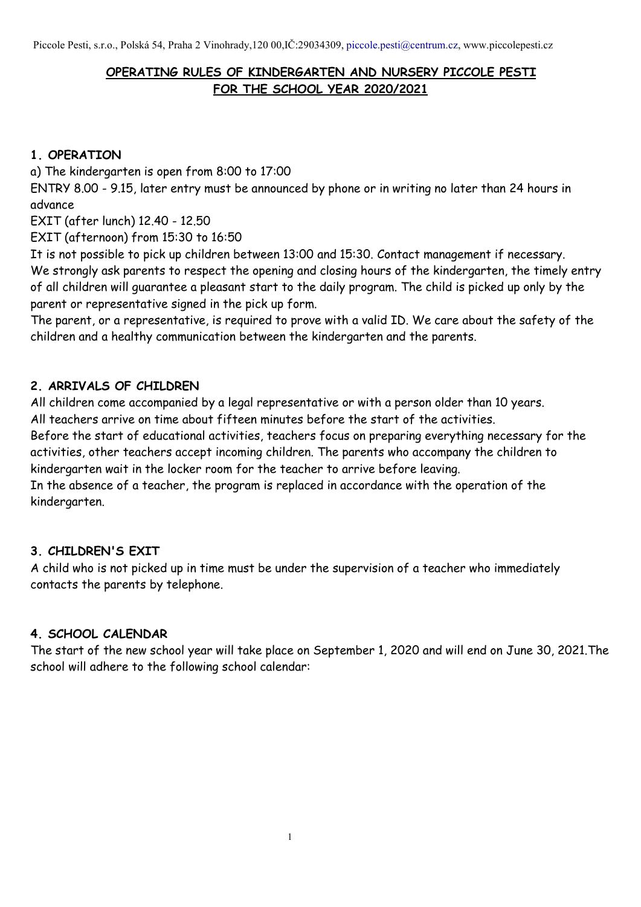## **OPERATING RULES OF KINDERGARTEN AND NURSERY PICCOLE PESTI FOR THE SCHOOL YEAR 2020/2021**

### **1. OPERATION**

a) The kindergarten is open from 8:00 to 17:00

ENTRY 8.00 - 9.15, later entry must be announced by phone or in writing no later than 24 hours in advance

EXIT (after lunch) 12.40 - 12.50

EXIT (afternoon) from 15:30 to 16:50

It is not possible to pick up children between 13:00 and 15:30. Contact management if necessary. We strongly ask parents to respect the opening and closing hours of the kindergarten, the timely entry of all children will guarantee a pleasant start to the daily program. The child is picked up only by the parent or representative signed in the pick up form.

The parent, or a representative, is required to prove with a valid ID. We care about the safety of the children and a healthy communication between the kindergarten and the parents.

## **2. ARRIVALS OF CHILDREN**

All children come accompanied by a legal representative or with a person older than 10 years. All teachers arrive on time about fifteen minutes before the start of the activities.

Before the start of educational activities, teachers focus on preparing everything necessary for the activities, other teachers accept incoming children. The parents who accompany the children to kindergarten wait in the locker room for the teacher to arrive before leaving.

In the absence of a teacher, the program is replaced in accordance with the operation of the kindergarten.

## **3. CHILDREN'S EXIT**

A child who is not picked up in time must be under the supervision of a teacher who immediately contacts the parents by telephone.

### **4. SCHOOL CALENDAR**

The start of the new school year will take place on September 1, 2020 and will end on June 30, 2021.The school will adhere to the following school calendar:

1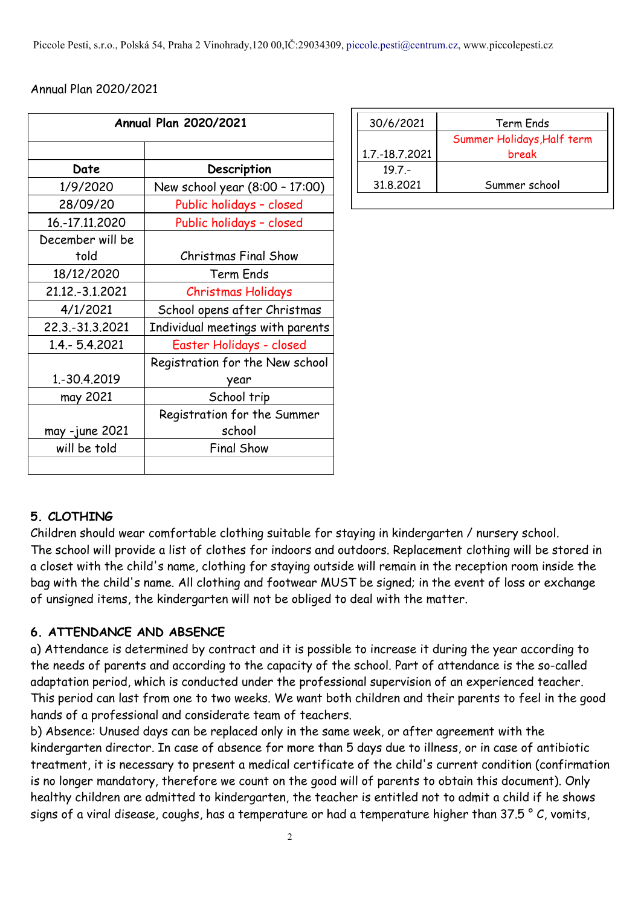#### Annual Plan 2020/2021

|                    | <b>Annual Plan 2020/2021</b>     | 30/6/2021      |
|--------------------|----------------------------------|----------------|
|                    |                                  |                |
|                    |                                  | 1.7.-18.7.2021 |
| Date               | Description                      | $19.7 -$       |
| 1/9/2020           | New school year (8:00 - 17:00)   | 31.8.2021      |
| 28/09/20           | Public holidays - closed         |                |
| 16.-17.11.2020     | Public holidays - closed         |                |
| December will be   |                                  |                |
| told               | <b>Christmas Final Show</b>      |                |
| 18/12/2020         | Term Ends                        |                |
| 21.12.-3.1.2021    | Christmas Holidays               |                |
| 4/1/2021           | School opens after Christmas     |                |
| 22.3. - 31.3. 2021 | Individual meetings with parents |                |
| 1.4 .- 5.4.2021    | Easter Holidays - closed         |                |
|                    | Registration for the New school  |                |
| 1.-30.4.2019       | year                             |                |
| may 2021           | School trip                      |                |
|                    | Registration for the Summer      |                |
| may -june 2021     | school                           |                |
| will be told       | <b>Final Show</b>                |                |
|                    |                                  |                |

| 30/6/2021        | Term Ends                  |
|------------------|----------------------------|
|                  | Summer Holidays, Half term |
| 1.7. - 18.7.2021 | break                      |
| $19.7 -$         |                            |
| 31,8,2021        | Summer school              |
|                  |                            |

## **5. CLOTHING**

Children should wear comfortable clothing suitable for staying in kindergarten / nursery school. The school will provide a list of clothes for indoors and outdoors. Replacement clothing will be stored in a closet with the child's name, clothing for staying outside will remain in the reception room inside the bag with the child's name. All clothing and footwear MUST be signed; in the event of loss or exchange of unsigned items, the kindergarten will not be obliged to deal with the matter.

### **6. ATTENDANCE AND ABSENCE**

a) Attendance is determined by contract and it is possible to increase it during the year according to the needs of parents and according to the capacity of the school. Part of attendance is the so-called adaptation period, which is conducted under the professional supervision of an experienced teacher. This period can last from one to two weeks. We want both children and their parents to feel in the good hands of a professional and considerate team of teachers.

b) Absence: Unused days can be replaced only in the same week, or after agreement with the kindergarten director. In case of absence for more than 5 days due to illness, or in case of antibiotic treatment, it is necessary to present a medical certificate of the child's current condition (confirmation is no longer mandatory, therefore we count on the good will of parents to obtain this document). Only healthy children are admitted to kindergarten, the teacher is entitled not to admit a child if he shows signs of a viral disease, coughs, has a temperature or had a temperature higher than  $37.5 \degree$  C, vomits,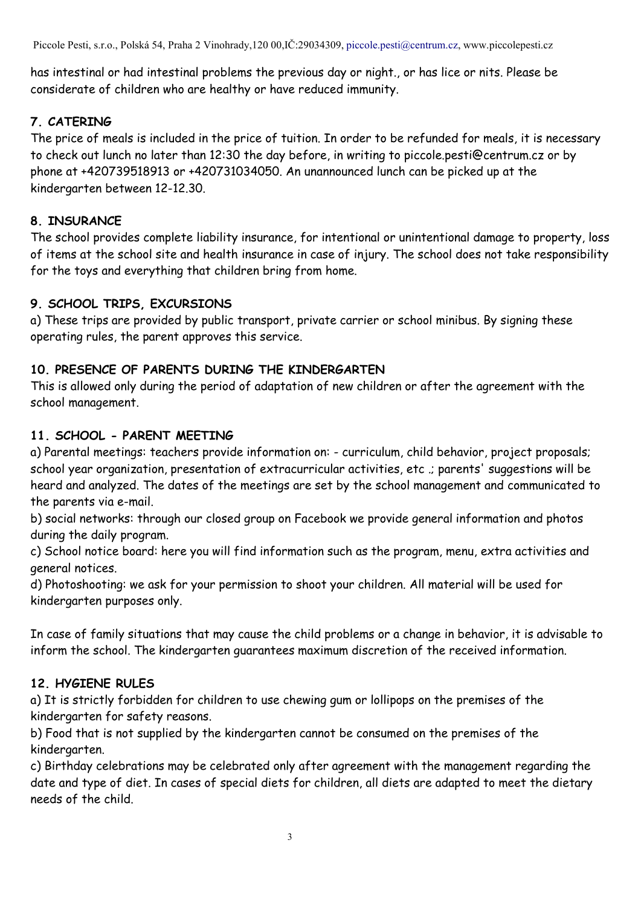Piccole Pesti, s.r.o., Polská 54, Praha 2 Vinohrady,120 00,IČ:29034309, [piccole.pesti@centrum.cz,](mailto:piccole.pesti@centrum.cz) www.piccolepesti.cz

has intestinal or had intestinal problems the previous day or night., or has lice or nits. Please be considerate of children who are healthy or have reduced immunity.

# **7. CATERING**

The price of meals is included in the price of tuition. In order to be refunded for meals, it is necessary to check out lunch no later than 12:30 the day before, in writing to piccole.pesti@centrum.cz or by phone at +420739518913 or +420731034050. An unannounced lunch can be picked up at the kindergarten between 12-12.30.

# **8. INSURANCE**

The school provides complete liability insurance, for intentional or unintentional damage to property, loss of items at the school site and health insurance in case of injury. The school does not take responsibility for the toys and everything that children bring from home.

# **9. SCHOOL TRIPS, EXCURSIONS**

a) These trips are provided by public transport, private carrier or school minibus. By signing these operating rules, the parent approves this service.

# **10. PRESENCE OF PARENTS DURING THE KINDERGARTEN**

This is allowed only during the period of adaptation of new children or after the agreement with the school management.

# **11. SCHOOL - PARENT MEETING**

a) Parental meetings: teachers provide information on: - curriculum, child behavior, project proposals; school year organization, presentation of extracurricular activities, etc .; parents' suggestions will be heard and analyzed. The dates of the meetings are set by the school management and communicated to the parents via e-mail.

b) social networks: through our closed group on Facebook we provide general information and photos during the daily program.

c) School notice board: here you will find information such as the program, menu, extra activities and general notices.

d) Photoshooting: we ask for your permission to shoot your children. All material will be used for kindergarten purposes only.

In case of family situations that may cause the child problems or a change in behavior, it is advisable to inform the school. The kindergarten guarantees maximum discretion of the received information.

# **12. HYGIENE RULES**

a) It is strictly forbidden for children to use chewing gum or lollipops on the premises of the kindergarten for safety reasons.

b) Food that is not supplied by the kindergarten cannot be consumed on the premises of the kindergarten.

c) Birthday celebrations may be celebrated only after agreement with the management regarding the date and type of diet. In cases of special diets for children, all diets are adapted to meet the dietary needs of the child.